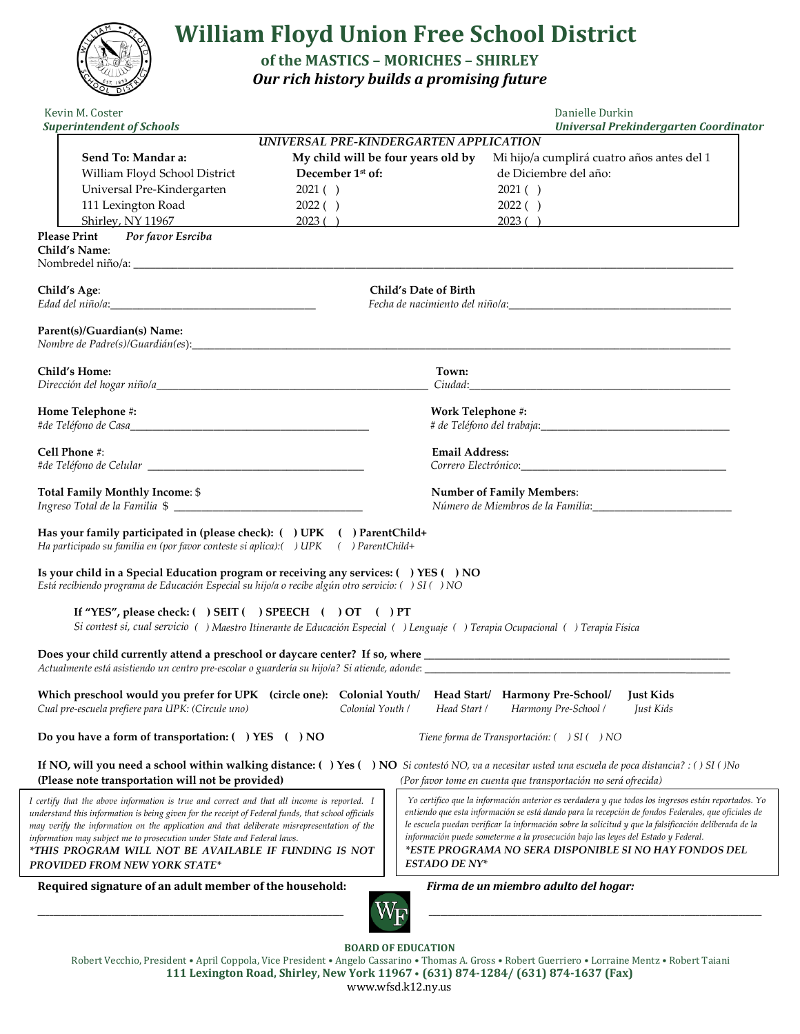

**BOARD OF EDUCATION**

Robert Vecchio, President • April Coppola, Vice President • Angelo Cassarino • Thomas A. Gross • Robert Guerriero • Lorraine Mentz • Robert Taiani **111 Lexington Road, Shirley, New York 11967** • **(631) 874-1284/ (631) 874-1637 (Fax)** www.wfsd.k12.ny.us